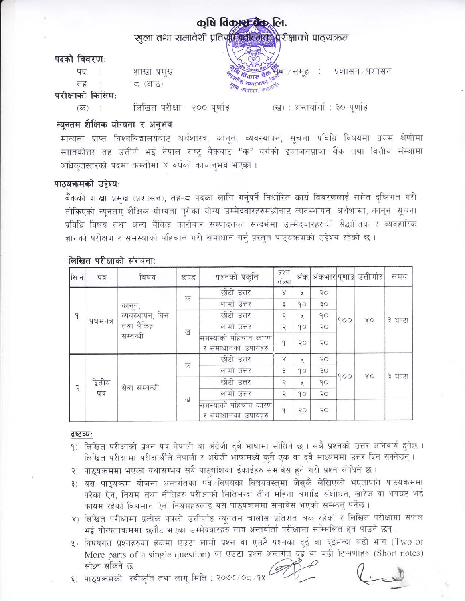

### परीक्षाको किसिमः

 $(\overline{dp})$  :

पद

तह

(ख) : अन्तर्वार्ता : ३० पूर्णाङ्ग

## न्यूनतम शैक्षिक योग्यता र अनुभवः

लिखित परीक्षा : २०० पूर्णाङ्क

मान्यता प्राप्त विश्वविद्यालयबाट अर्थशास्त्र, कानून, व्यवस्थापन, सूचना प्रविधि विषयमा प्रथम श्रेणीमा स्नातकोत्तर तह उत्तीर्ण भई नेपाल राष्ट्र बैंकबाट "क" वर्गको इजाजतप्राप्त बैंक तथा वित्तीय संस्थामा अधिकतस्तरको पदमा कम्तीमा ४ वर्षको कार्यानुभव भएका ।

## पाठ्यक्रमको उद्देश्यः

बैंकको शाखा प्रमुख (प्रशासन), तह-८ पदका लागि गर्नुपर्ने निर्धारित कार्य विवरणलाई समेत दृष्टिगत गरी तोकिएको न्यूनतम् शैक्षिक योग्यता पुगेका योग्य उम्मेदवारहरुमध्येबाट व्यवस्थापन, अर्थशास्त्र, कानून, सूचना प्रविधि विषय तथा अन्य बैंकिङ्ग कारोबार सम्पादनका सन्दर्भमा उम्मेदवारहरुको सैद्धान्तिक र व्यवहारिक ज्ञानको परीक्षण र समस्याको पहिचान गरी समाधान गर्न् प्रस्तुत पाठ्यक्रमको उद्देश्य रहेको छ।

| लिखित परीक्षाको संरचना: |  |
|-------------------------|--|

| सि.नं.                                      | पत्र          | विषय                                       | खण्ड                                       | प्रश्नको प्रकृति | प्रश्न<br>संख्या         | अंक |    |     | अंकभार पूर्णाड़ उत्तीर्णांड़। | समय     |
|---------------------------------------------|---------------|--------------------------------------------|--------------------------------------------|------------------|--------------------------|-----|----|-----|-------------------------------|---------|
|                                             |               | कानन,<br>व्यवस्थापन, वित्त<br>तथा बैंकिङ्ग | क                                          | छोटो उत्तर       | $\mathbb X$              | У   | २० |     | 80                            | ३ घण्टा |
|                                             |               |                                            |                                            | लामो उत्तर       | $\overline{\omega}$      | 90  | 30 |     |                               |         |
| 9                                           |               |                                            |                                            | छोटो उत्तर       | ΰ                        | X   | 90 |     |                               |         |
|                                             | प्रथमपत्र     |                                            |                                            | लामो उत्तर       | $\overline{\mathcal{L}}$ | 90  | २० | 900 |                               |         |
|                                             | सम्बन्धी      | ख                                          | समस्याको पहिचान काण<br>समाधानका उपायहरु    | ٩                | २०                       | २०  |    |     |                               |         |
| द्वितीय<br>$\overline{\mathcal{R}}$<br>पत्र |               |                                            | छोटो उत्तर                                 | $\mathbb X$      | X                        | २०  |    |     |                               |         |
|                                             |               |                                            | क                                          | लामो उत्तर       | В                        | 90  | 30 | 900 | 80                            | ३ घण्टा |
|                                             |               |                                            |                                            | छोटो उत्तर       | Q                        | У   | 90 |     |                               |         |
|                                             | सेवा सम्बन्धी |                                            | लामो उत्तर                                 | Q                | 90                       | 20  |    |     |                               |         |
|                                             |               | ख                                          | समस्याको पहिचान कारण<br>र समाधानका उपायहरु | q                | २०                       | २०  |    |     |                               |         |

#### द्रष्टव्यः

- १) लिखित परीक्षाको प्रश्न पत्र नेपाली वा अंग्रेजी दुबै भाषामा सोधिने छ । सबै प्रश्नको उत्तर अनिवार्य हुनेछ । लिखित परीक्षामा परीक्षार्थीले नेपाली र अंग्रेजी भाषामध्ये कुनै एक वा दुवै माध्यममा उत्तर दिन सक्नेछन्।
- २) पाठ्यक्रममा भएका यथासम्भव सबै पाठ्यांशका ईकाईहरु समावेस हुने गरी प्रश्न सोधिने छ।
- ३) यस पाठयक्रम योजना अन्तर्गतका पत्र विषयका विषयवस्तुमा जेसकै लेखिएको भएतापनि पाठ्यक्रममा परेका ऐन, नियम तथा नीतिहरु परीक्षाको मितिभन्दा तीन महिना अगाडि संशोधन, खारेज वा थपघट भई कायम रहेको विद्यमान ऐन, नियमहरुलाई यस पाठ्यक्रममा समावेस भएको सम्फ़न् पर्नेछ।
- ४) लिखित परीक्षामा प्रत्येक पत्रको उत्तीर्णाङ्ग न्यूनतम चालीस प्रतिशत अंक रहेको र लिखित परीक्षामा सफल भई योग्यताक्रममा छनौट भएका उम्मेदवारहरु मात्र अन्तर्वार्ता परीक्षामा सम्मिलित हन पाउने छन्।
- ५) विषयगत प्रश्नहरुका हकमा एउटा लामो प्रश्न वा एउटै प्रश्नका दुई वा दुईभन्दा बढी भाग (Two or More parts of a single question) वा एउटा प्रश्न अन्तर्गत दुई वा बढ़ी टिप्पणीहरु (Short notes) सोध्न सकिने छ ।
- ६) पाठयक्रमको स्वीकृति तथा लागू मिति : २०७७/०८/१५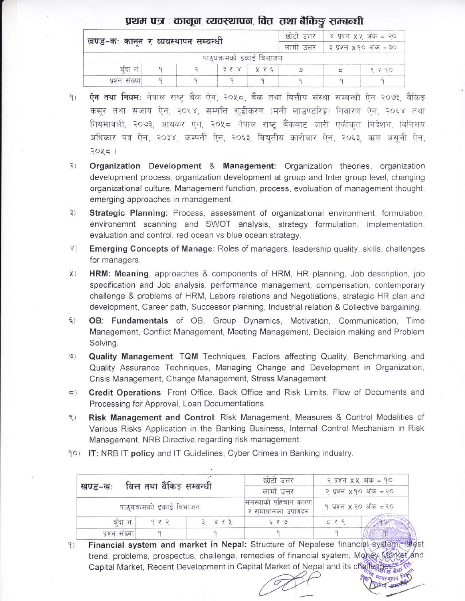# प्रथम पत्र : कानून, व्यवस्थापन, वित्त तथा बैकिङ्ग सम्बन्धी

|                                     |  | छोटी उत्तर              |                                     | ४ प्रश्न X X अंक = २० |  |  |
|-------------------------------------|--|-------------------------|-------------------------------------|-----------------------|--|--|
| खण्ड-कः कानून र व्यवस्थापन सम्वन्धी |  |                         | लामो उत्तर   ३ प्रश्न x १० अंक = ३० |                       |  |  |
|                                     |  | पाठ्यक्रमको इकाई विभाजन |                                     |                       |  |  |
| वदा न                               |  | 358                     |                                     |                       |  |  |
| प्रश्न संख्या                       |  |                         |                                     |                       |  |  |

- ऐन तथा नियम: नेपाल राष्ट्र बैंक ऐन, २०५८, बैंक तथा वित्तीय संस्था सम्बन्धी ऐन २०७३, बैकिङ्ग  $9)$ कसर तथा सजाय ऐन, २०६४, सम्पत्ति शद्बीकरण (मनी लाउण्डरिङ्ग) निवारण ऐन, २०६४ तथा नियमावली, २०७३, आयकर ऐन, २०५८ नेपाल राष्ट्र बैंकबाट जारी एकीकत निर्देशन, विनिमय अधिकार पत्र ऐन, २०३४, कम्पनी ऐन, २०६३, विद्युतीय कारोबार ऐन, २०६३, ऋण असुली ऐन,  $70451$
- $\mathcal{L}$ **Organization Development & Management:** Organization theories, organization development process, organization development at group and Inter group level, changing organizational culture, Management function, process, evoluation of management thought, emerging approaches in management.
- $\mathfrak{F}$ Strategic Planning: Process, assessment of organizational environment, formulation, environemnt scanning and SWOT analysis, strategy formulation, implementation, evaluation and control, red ocean vs blue ocean strategy.
- $8)$ **Emerging Concepts of Manage:** Roles of managers, leadership quality, skills, challenges for managers.
- $x)$ HRM: Meaning, approaches & components of HRM, HR planning, Job description, job specification and Job analysis, performance management, compensation, contemporary challenge & problems of HRM, Labors relations and Negotiations, strategic HR plan and development, Career path, Successor planning, Industrial relation & Collective bargaining.
- OB: Fundamentals of OB, Group Dynamics, Motivation, Communication, Time  $\xi)$ Management, Conflict Management, Meeting Management, Decision making and Problem Solving.
- Quality Management: TQM Techniques, Factors affecting Quality, Benchmarking and  $\circ$ Quality Assurance Techniques, Managing Change and Development in Organization, Crisis Management, Change Management, Stress Management
- Credit Operations: Front Office, Back Office and Risk Limits, Flow of Documents and  $5)$ Processing for Approval, Loan Documentations
- Risk Management and Control: Risk Management, Measures & Control Modalities of  $(9)$ Various Risks Application in the Banking Business, Internal Control Mechanism in Risk Management, NRB Directive regarding risk management.
- (90) IT: NRB IT policy and IT Guidelines, Cyber Crimes in Banking industry.

| <b>ंखण्ड−खः वित्त तथा बैंकिङ्ग सम्बन्धी</b> |                         |          | छोटो उत्तर<br>लामो उत्तर                     | २ प्रश्न X X अंक = १०<br>२ प्रश्न ४१० अंक = २०<br>१ प्रश्न X २० अंक = २० |  |  |
|---------------------------------------------|-------------------------|----------|----------------------------------------------|--------------------------------------------------------------------------|--|--|
|                                             | पाठ्यक्रमको इकाई विभाजन |          | सिमस्याको पहिचान कारण <br>र समाधानका उपायहरु |                                                                          |  |  |
| बंदा नं.                                    | 972                     | ३, ४ र ५ | ६ र ७                                        | 578                                                                      |  |  |
| प्रश्न संख्या                               |                         |          |                                              |                                                                          |  |  |

 $9)$ 

Financial system and market in Nepal: Structure of Nepalese financial system, latest trend, problems, prospectus, challenge, remedies of financial syatem, Money Market and Capital Market, Recent Development in Capital Market of Nepal and its challenges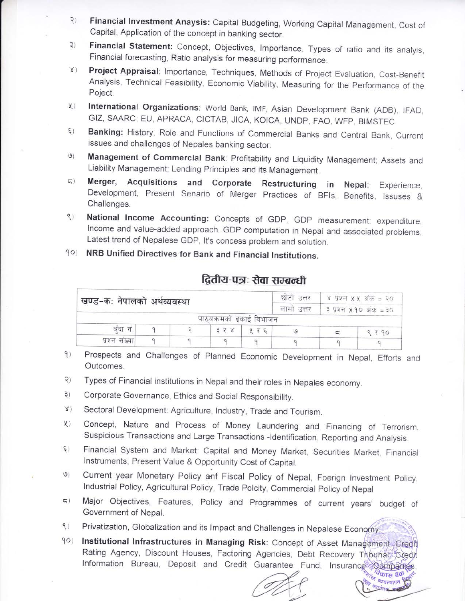- Financial Investment Anaysis: Capital Budgeting, Working Capital Management, Cost of  $\mathcal{S}$ Capital, Application of the concept in banking sector.
- Financial Statement: Concept, Objectives, Importance, Types of ratio and its analyis, ३) Financial forecasting, Ratio analysis for measuring performance.
- Project Appraisal: Importance, Techniques, Methods of Project Evaluation, Cost-Benefit  $8)$ Analysis, Technical Feasibility, Economic Viability, Measuring for the Performance of the Poject.
- International Organizations: World Bank, IMF, Asian Development Bank (ADB), IFAD,  $x)$ GIZ, SAARC; EU, APRACA, CICTAB, JICA, KOICA, UNDP, FAO, WFP, BIMSTEC
- Banking: History, Role and Functions of Commercial Banks and Central Bank, Current  $\xi$ ) issues and challenges of Nepales banking sector.
- Management of Commercial Bank: Profitability and Liquidity Management; Assets and  $\mathcal{G}$ Liability Management; Lending Principles and its Management.
- Merger, Acquisitions and Corporate Restructuring in  $\overline{5}$ ) Nepal: Experience. Development, Present Senario of Merger Practices of BFIs, Benefits, Issuses & Challenges.
- National Income Accounting: Concepts of GDP, GDP measurement: expenditure,  $\zeta$ Income and value-added approach. GDP computation in Nepal and associated problems, Latest trend of Nepalese GDP, It's concess problem and solution.
- 90) NRB Unified Directives for Bank and Financial Institutions.

# द्धितीय-पत्रः सेवा सम्बन्धी

| खण्ड-कः नेपालको अर्थव्यवस्था |  | छोटा उत्तर |                         | ४ प्रश्न x x अंक = २०  |  |  |      |
|------------------------------|--|------------|-------------------------|------------------------|--|--|------|
|                              |  |            | लामा उत्तर              | ३ प्रश्न x १० अंक = ३० |  |  |      |
|                              |  |            | पाठ्यक्रमको इकाई विभाजन |                        |  |  |      |
| बंदा नं.                     |  |            | 378                     |                        |  |  | 9790 |
| प्रश्न संख्या                |  |            |                         |                        |  |  |      |

- Prospects and Challenges of Planned Economic Development in Nepal, Efforts and  $9)$ Outcomes.
- Types of Financial institutions in Nepal and their roles in Nepales economy.  $\mathcal{S}$
- $\mathfrak{B}$ Corporate Governance, Ethics and Social Responsibility.
- Sectoral Development: Agriculture, Industry, Trade and Tourism.  $8)$
- Concept, Nature and Process of Money Laundering and Financing of Terrorism.  $x)$ Suspicious Transactions and Large Transactions -Identification, Reporting and Analysis.
- Financial System and Market: Capital and Money Market, Securities Market, Financial  $\xi$ Instruments, Present Value & Opportunity Cost of Capital.
- Current year Monetary Policy anf Fiscal Policy of Nepal, Foerign Investment Policy,  $\mathcal{G}$ Industrial Policy, Agricultural Policy, Trade Polcity, Commercial Policy of Nepal
- Major Objectives, Features, Policy and Programmes of current years' budget of  $\sqrt{2}$ Government of Nepal.
- $\mathcal{S}$ ) Privatization, Globalization and its Impact and Challenges in Nepalese Economy.
- 90) Institutional Infrastructures in Managing Risk: Concept of Asset Management, Credit Rating Agency, Discount Houses, Factoring Agencies, Debt Recovery Tribunal Stedit Information Bureau, Deposit and Credit Guarantee Fund, Insurance Companies,

क्री व्यवस्थापन स्त्री *ODTA बैर्क*